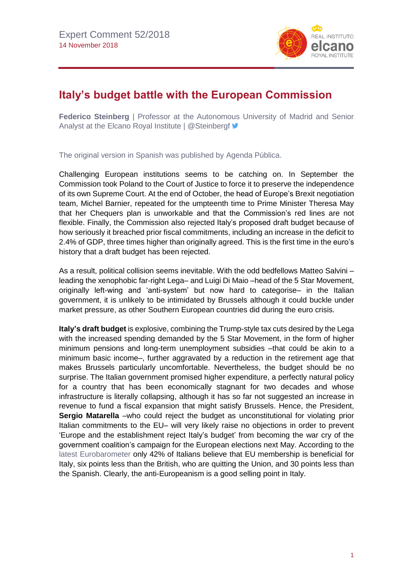

## **Italy's budget battle with the European Commission**

**Federico Steinberg** | Professor at the Autonomous University of Madrid and Senior Analyst at the Elcano Royal Institute | @Steinbergf

The original version in Spanish was published by [Agenda](http://agendapublica.elperiodico.com/ordago-de-italia-a-la-comision/) Pública.

Challenging European institutions seems to be catching on. In September the Commission took Poland to the Court of Justice to force it to preserve the independence of its own Supreme Court. At the end of October, the head of Europe's Brexit negotiation team, Michel Barnier, repeated for the umpteenth time to Prime Minister Theresa May that her Chequers plan is unworkable and that the Commission's red lines are not flexible. Finally, the Commission also rejected Italy's proposed draft budget because of how seriously it breached prior fiscal commitments, including an increase in the deficit to 2.4% of GDP, three times higher than originally agreed. This is the first time in the euro's history that a draft budget has been rejected.

As a result, political collision seems inevitable. With the odd bedfellows Matteo Salvini – leading the xenophobic far-right Lega– and Luigi Di Maio –head of the 5 Star Movement, originally left-wing and 'anti-system' but now hard to categorise– in the Italian government, it is unlikely to be intimidated by Brussels although it could buckle under market pressure, as other Southern European countries did during the euro crisis.

**Italy's draft budget** is explosive, combining the Trump-style tax cuts desired by the Lega with the increased spending demanded by the 5 Star Movement, in the form of higher minimum pensions and long-term unemployment subsidies –that could be akin to a minimum basic income–, further aggravated by a reduction in the retirement age that makes Brussels particularly uncomfortable. Nevertheless, the budget should be no surprise. The Italian government promised higher expenditure, a perfectly natural policy for a country that has been economically stagnant for two decades and whose infrastructure is literally collapsing, although it has so far not suggested an increase in revenue to fund a fiscal expansion that might satisfy Brussels. Hence, the President, **Sergio Matarella** –who could reject the budget as unconstitutional for violating prior Italian commitments to the EU– will very likely raise no objections in order to prevent 'Europe and the establishment reject Italy's budget' from becoming the war cry of the government coalition's campaign for the European elections next May. According to the latest [Eurobarometer](http://ec.europa.eu/commfrontoffice/publicopinion/index.cfm/Survey/getSurveyDetail/instruments/STANDARD/surveyKy/2180) only 42% of Italians believe that EU membership is beneficial for Italy, six points less than the British, who are quitting the Union, and 30 points less than the Spanish. Clearly, the anti-Europeanism is a good selling point in Italy.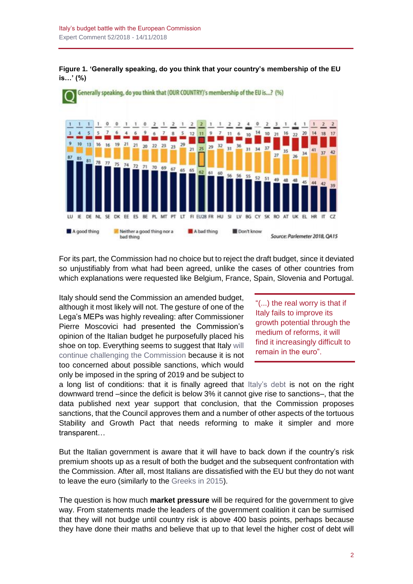



For its part, the Commission had no choice but to reject the draft budget, since it deviated so unjustifiably from what had been agreed, unlike the cases of other countries from which explanations were requested like Belgium, France, Spain, Slovenia and Portugal.

Italy should send the Commission an amended budget, although it most likely will not. The gesture of one of the Lega's MEPs was highly revealing: after Commissioner Pierre Moscovici had presented the Commission's opinion of the Italian budget he purposefully placed his shoe on top. Everything seems to suggest that Italy [will](http://bruegel.org/2018/10/directors-cut-how-does-italys-budget-fit-with-eu-fiscal-rules/) [continue challenging the Commission](http://bruegel.org/2018/10/directors-cut-how-does-italys-budget-fit-with-eu-fiscal-rules/) because it is not too concerned about possible sanctions, which would only be imposed in the spring of 2019 and be subject to

"(...) the real worry is that if Italy fails to improve its growth potential through the medium of reforms, it will find it increasingly difficult to remain in the euro".

a long list of conditions: that it is finally agreed that [Italy's debt](http://www.realinstitutoelcano.org/wps/portal/rielcano_en/contenido?WCM_GLOBAL_CONTEXT=/elcano/elcano_in/zonas_in/commentary-puig-sanchez-italy-and-spain-tales-of-two-countries) is not on the right downward trend –since the deficit is below 3% it cannot give rise to sanctions–, that the data published next year support that conclusion, that the Commission proposes sanctions, that the Council approves them and a number of other aspects of the tortuous Stability and Growth Pact that needs reforming to make it simpler and more transparent…

But the Italian government is aware that it will have to back down if the country's risk premium shoots up as a result of both the budget and the subsequent confrontation with the Commission. After all, most Italians are dissatisfied with the EU but they do not want to leave the euro (similarly to the [Greeks in 2015\)](https://especiales.realinstitutoelcano.org/grecia/grexit-summer/).

The question is how much **market pressure** will be required for the government to give way. From statements made the leaders of the government coalition it can be surmised that they will not budge until country risk is above 400 basis points, perhaps because they have done their maths and believe that up to that level the higher cost of debt will